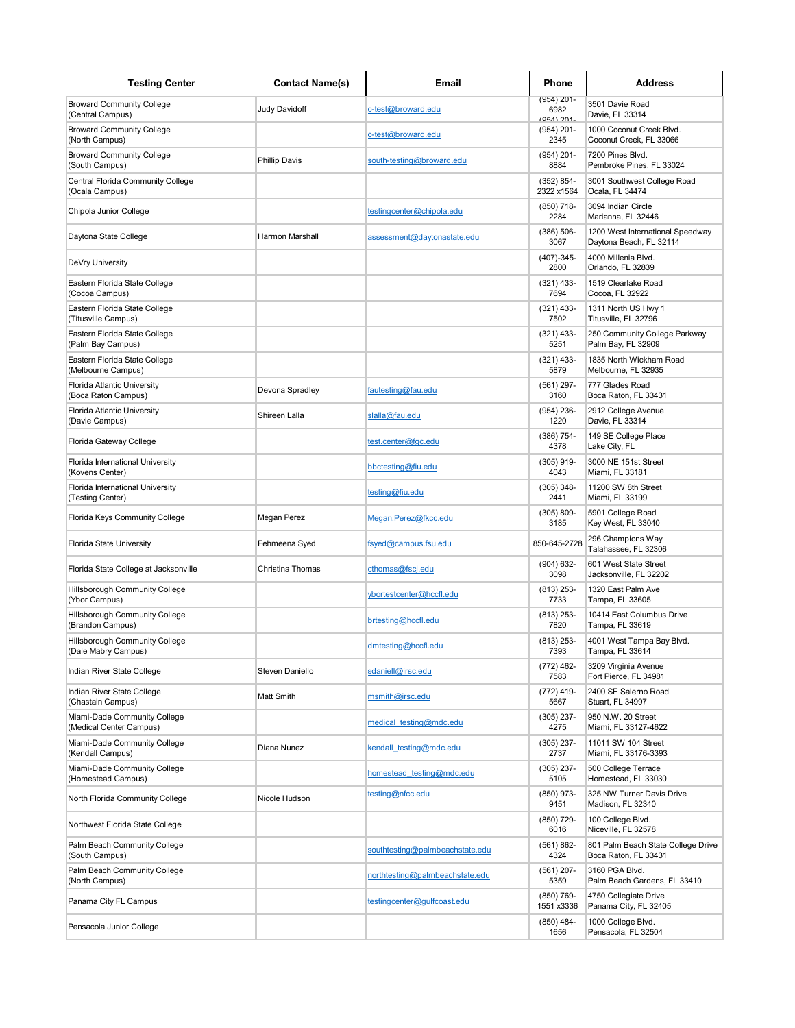| <b>Testing Center</b>                                        | <b>Contact Name(s)</b> | Email                           | Phone                            | <b>Address</b>                                              |
|--------------------------------------------------------------|------------------------|---------------------------------|----------------------------------|-------------------------------------------------------------|
| <b>Broward Community College</b><br>(Central Campus)         | Judy Davidoff          | c-test@broward.edu              | (954) 201-<br>6982<br>(954) 201. | 3501 Davie Road<br>Davie, FL 33314                          |
| <b>Broward Community College</b><br>(North Campus)           |                        | c-test@broward.edu              | $(954) 201 -$<br>2345            | 1000 Coconut Creek Blvd.<br>Coconut Creek, FL 33066         |
| <b>Broward Community College</b><br>(South Campus)           | <b>Phillip Davis</b>   | south-testing@broward.edu       | $(954) 201 -$<br>8884            | 7200 Pines Blvd.<br>Pembroke Pines, FL 33024                |
| Central Florida Community College<br>(Ocala Campus)          |                        |                                 | $(352) 854-$<br>2322 x1564       | 3001 Southwest College Road<br>Ocala, FL 34474              |
| Chipola Junior College                                       |                        | testingcenter@chipola.edu       | $(850)$ 718-<br>2284             | 3094 Indian Circle<br>Marianna, FL 32446                    |
| Daytona State College                                        | Harmon Marshall        | assessment@daytonastate.edu     | $(386) 506 -$<br>3067            | 1200 West International Speedway<br>Daytona Beach, FL 32114 |
| DeVry University                                             |                        |                                 | $(407)-345-$<br>2800             | 4000 Millenia Blvd.<br>Orlando, FL 32839                    |
| Eastern Florida State College<br>(Cocoa Campus)              |                        |                                 | $(321)$ 433-<br>7694             | 1519 Clearlake Road<br>Cocoa, FL 32922                      |
| Eastern Florida State College<br>(Titusville Campus)         |                        |                                 | $(321)$ 433-<br>7502             | 1311 North US Hwy 1<br>Titusville, FL 32796                 |
| Eastern Florida State College<br>(Palm Bay Campus)           |                        |                                 | $(321)$ 433-<br>5251             | 250 Community College Parkway<br>Palm Bay, FL 32909         |
| Eastern Florida State College<br>(Melbourne Campus)          |                        |                                 | $(321)$ 433-<br>5879             | 1835 North Wickham Road<br>Melbourne, FL 32935              |
| Florida Atlantic University<br>(Boca Raton Campus)           | Devona Spradley        | fautesting@fau.edu              | $(561)$ 297-<br>3160             | 777 Glades Road<br>Boca Raton, FL 33431                     |
| Florida Atlantic University<br>(Davie Campus)                | Shireen Lalla          | slalla@fau.edu                  | $(954) 236 -$<br>1220            | 2912 College Avenue<br>Davie, FL 33314                      |
| Florida Gateway College                                      |                        | test.center@fac.edu             | $(386)$ 754-<br>4378             | 149 SE College Place<br>Lake City, FL                       |
| Florida International University<br>(Kovens Center)          |                        | bbctesting@fiu.edu              | $(305)$ 919-<br>4043             | 3000 NE 151st Street<br>Miami, FL 33181                     |
| Florida International University<br>(Testing Center)         |                        | testing@fiu.edu                 | $(305)$ 348-<br>2441             | 11200 SW 8th Street<br>Miami, FL 33199                      |
| Florida Keys Community College                               | Megan Perez            | Megan.Perez@fkcc.edu            | $(305) 809 -$<br>3185            | 5901 College Road<br>Key West, FL 33040                     |
| <b>Florida State University</b>                              | Fehmeena Syed          | fsyed@campus.fsu.edu            | 850-645-2728                     | 296 Champions Way<br>Talahassee, FL 32306                   |
| Florida State College at Jacksonville                        | Christina Thomas       | cthomas@fscj.edu                | $(904) 632 -$<br>3098            | 601 West State Street<br>Jacksonville, FL 32202             |
| <b>Hillsborough Community College</b><br>(Ybor Campus)       |                        | ybortestcenter@hccfl.edu        | $(813)$ 253-<br>7733             | 1320 East Palm Ave<br>Tampa, FL 33605                       |
| Hillsborough Community College<br>(Brandon Campus)           |                        | brtesting@hccfl.edu             | $(813)$ 253-<br>7820             | 10414 East Columbus Drive<br>Tampa, FL 33619                |
| <b>Hillsborough Community College</b><br>(Dale Mabry Campus) |                        | dmtesting@hccfl.edu             | $(813)$ 253-<br>7393             | 4001 West Tampa Bay Blvd.<br>Tampa, FL 33614                |
| Indian River State College                                   | Steven Daniello        | sdaniell@irsc.edu               | (772) 462-<br>7583               | 3209 Virginia Avenue<br>Fort Pierce, FL 34981               |
| Indian River State College<br>(Chastain Campus)              | Matt Smith             | msmith@irsc.edu                 | $(772)$ 419-<br>5667             | 2400 SE Salerno Road<br>Stuart, FL 34997                    |
| Miami-Dade Community College<br>(Medical Center Campus)      |                        | medical testing@mdc.edu         | $(305)$ 237-<br>4275             | 950 N.W. 20 Street<br>Miami, FL 33127-4622                  |
| Miami-Dade Community College<br>(Kendall Campus)             | Diana Nunez            | kendall testing@mdc.edu         | $(305)$ 237-<br>2737             | 11011 SW 104 Street<br>Miami, FL 33176-3393                 |
| Miami-Dade Community College<br>(Homestead Campus)           |                        | homestead testing@mdc.edu       | $(305)$ 237-<br>5105             | 500 College Terrace<br>Homestead, FL 33030                  |
| North Florida Community College                              | Nicole Hudson          | testing@nfcc.edu                | (850) 973-<br>9451               | 325 NW Turner Davis Drive<br>Madison, FL 32340              |
| Northwest Florida State College                              |                        |                                 | (850) 729-<br>6016               | 100 College Blvd.<br>Niceville, FL 32578                    |
| Palm Beach Community College<br>(South Campus)               |                        | southtesting@palmbeachstate.edu | $(561) 862 -$<br>4324            | 801 Palm Beach State College Drive<br>Boca Raton, FL 33431  |
| Palm Beach Community College<br>(North Campus)               |                        | northtesting@palmbeachstate.edu | $(561) 207 -$<br>5359            | 3160 PGA Blvd.<br>Palm Beach Gardens, FL 33410              |
| Panama City FL Campus                                        |                        | testingcenter@gulfcoast.edu     | (850) 769-<br>1551 x3336         | 4750 Collegiate Drive<br>Panama City, FL 32405              |
| Pensacola Junior College                                     |                        |                                 | $(850)$ 484-<br>1656             | 1000 College Blvd.<br>Pensacola, FL 32504                   |